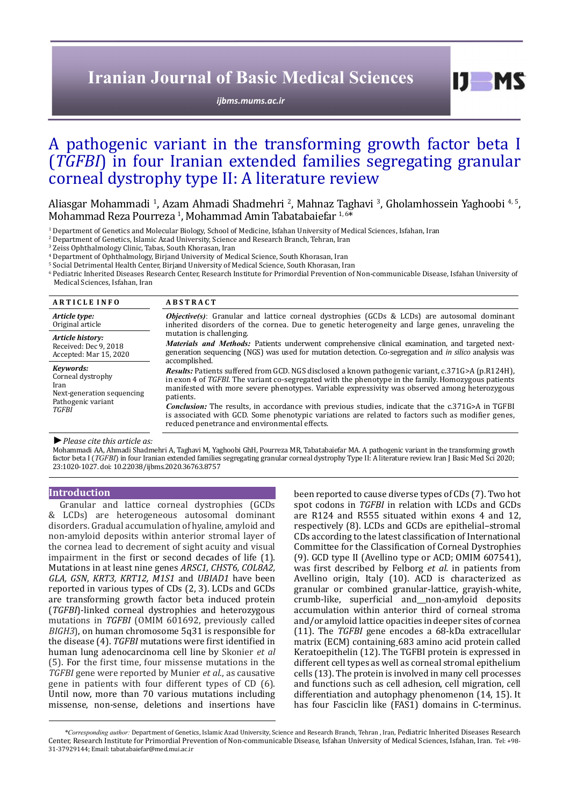# **Iranian Journal of Basic Medical Sciences**

*[ijbms.mums.ac.ir](http://ijbms.mums.ac.ir)*

# A pathogenic variant in the transforming growth factor beta I (*TGFBI*) in four Iranian extended families segregating granular corneal dystrophy type II: A literature review

Aliasgar Mohammadi <sup>1</sup>, Azam Ahmadi Shadmehri <sup>2</sup>, Mahnaz Taghavi <sup>3</sup>, Gholamhossein Yaghoobi <sup>4, 5</sup>, Mohammad Reza Pourreza <sup>1</sup>, Mohammad Amin Tabatabaiefar <sup>1,6\*</sup>

<sup>1</sup> Department of Genetics and Molecular Biology, School of Medicine, Isfahan University of Medical Sciences, Isfahan, Iran

2 Department of Genetics, Islamic Azad University, Science and Research Branch, Tehran, Iran

3 Zeiss Ophthalmology Clinic, Tabas, South Khorasan, Iran

4 Department of Ophthalmology, Birjand University of Medical Science, South Khorasan, Iran

5 Social Detrimental Health Center, Birjand University of Medical Science, South Khorasan, Iran

6 Pediatric Inherited Diseases Research Center, Research Institute for Primordial Prevention of Non-communicable Disease, Isfahan University of Medical Sciences, Isfahan, Iran

| <b>ARTICLE INFO</b>                                                                        | <b>ABSTRACT</b>                                                                                                                                                                                                                                                                                                                |
|--------------------------------------------------------------------------------------------|--------------------------------------------------------------------------------------------------------------------------------------------------------------------------------------------------------------------------------------------------------------------------------------------------------------------------------|
| Article type:<br>Original article                                                          | <b>Objective(s)</b> : Granular and lattice corneal dystrophies (GCDs & LCDs) are autosomal dominant<br>inherited disorders of the cornea. Due to genetic heterogeneity and large genes, unraveling the                                                                                                                         |
| Article history:<br>Received: Dec 9, 2018<br>Accepted: Mar 15, 2020                        | mutation is challenging.<br><i>Materials and Methods:</i> Patients underwent comprehensive clinical examination, and targeted next-<br>generation sequencing (NGS) was used for mutation detection. Co-segregation and in silico analysis was<br>accomplished.                                                                 |
| Kevwords:<br>Corneal dystrophy<br>Iran<br>Next-generation sequencing<br>Pathogenic variant | <b>Results:</b> Patients suffered from GCD. NGS disclosed a known pathogenic variant, c.371G>A (p.R124H),<br>in exon 4 of TGFBI. The variant co-segregated with the phenotype in the family. Homozygous patients<br>manifested with more severe phenotypes. Variable expressivity was observed among heterozygous<br>patients. |
| TGFBI                                                                                      | <b>Conclusion:</b> The results, in accordance with previous studies, indicate that the c.371G>A in TGFBI<br>is associated with GCD. Some phenotypic variations are related to factors such as modifier genes,<br>reduced penetrance and environmental effects.                                                                 |
| $\mathbf{r}$<br>$\cdots$ $\cdots$ $\cdots$                                                 |                                                                                                                                                                                                                                                                                                                                |

#### *►Please cite this article as:*

Mohammadi AA, Ahmadi Shadmehri A, Taghavi M, Yaghoobi GhH, Pourreza MR, Tabatabaiefar MA. A pathogenic variant in the transforming growth factor beta I (*TGFBI*) in four Iranian extended families segregating granular corneal dystrophy Type II: A literature review. Iran J Basic Med Sci 2020; 23:1020-1027. doi: 10.22038/ijbms.2020.36763.8757

#### **Introduction**

Granular and lattice corneal dystrophies (GCDs & LCDs) are heterogeneous autosomal dominant disorders. Gradual accumulation of hyaline, amyloid and non-amyloid deposits within anterior stromal layer of the cornea lead to decrement of sight acuity and visual impairment in the first or second decades of life (1). Mutations in at least nine genes *ARSC1, CHST6, COL8A2, GLA, GSN*, *KRT3, KRT12, M1S1* and *UBIAD1* have been reported in various types of CDs (2, 3). LCDs and GCDs are transforming growth factor beta induced protein (*TGFBI*)-linked corneal dystrophies and heterozygous mutations in *TGFBI* (OMIM 601692, previously called *BIGH3*), on human chromosome 5q31 is responsible for the disease (4). *TGFBI* mutations were first identified in human lung adenocarcinoma cell line by Skonier *et al* (5). For the first time, four missense mutations in the *TGFBI* gene were reported by Munier *et al.*, as causative gene in patients with four different types of CD (6). Until now, more than 70 various mutations including missense, non-sense, deletions and insertions have

been reported to cause diverse types of CDs (7). Two hot spot codons in *TGFBI* in relation with LCDs and GCDs are R124 and R555 situated within exons 4 and 12, respectively (8). LCDs and GCDs are epithelial–stromal CDs according to the latest classification of International Committee for the Classification of Corneal Dystrophies (9). GCD type II (Avellino type or ACD; OMIM 607541), was first described by Felborg *et al.* in patients from Avellino origin, Italy (10). ACD is characterized as granular or combined granular-lattice, grayish-white, crumb-like, superficial and non-amyloid deposits accumulation within anterior third of corneal stroma and/or amyloid lattice opacities in deeper sites of cornea (11). The *TGFBI* gene encodes a 68-kDa extracellular matrix (ECM) containing 683 amino acid protein called Keratoepithelin (12). The TGFBI protein is expressed in different cell types as well as corneal stromal epithelium cells (13). The protein is involved in many cell processes and functions such as cell adhesion, cell migration, cell differentiation and autophagy phenomenon (14, 15). It has four Fasciclin like (FAS1) domains in C-terminus.

 $I$   $I$   $M$   $S$ 

*\*Corresponding author:* Department of Genetics, Islamic Azad University, Science and Research Branch, Tehran , Iran, Pediatric Inherited Diseases Research Center, Research Institute for Primordial Prevention of Non-communicable Disease, Isfahan University of Medical Sciences, Isfahan, Iran. Tel: +98- 31-37929144; Email: tabatabaiefar@med.mui.ac.ir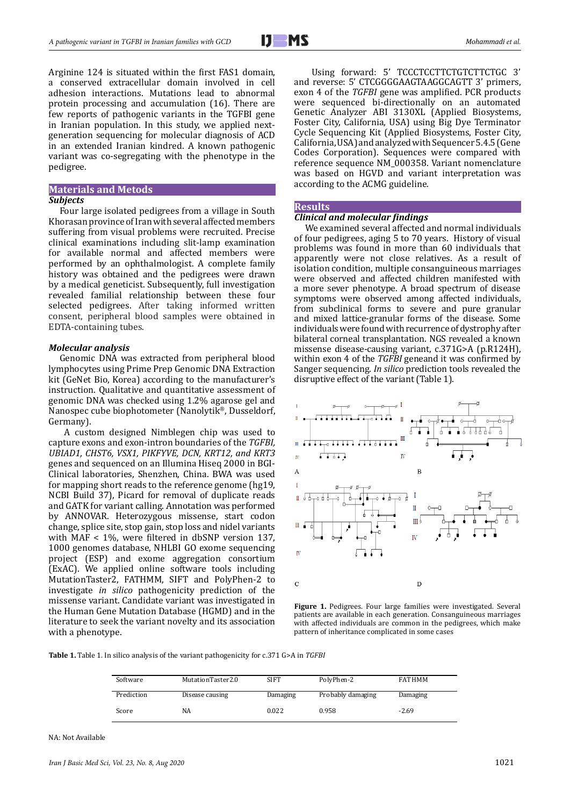Arginine 124 is situated within the first FAS1 domain, a conserved extracellular domain involved in cell adhesion interactions. Mutations lead to abnormal protein processing and accumulation (16). There are few reports of pathogenic variants in the TGFBI gene in Iranian population. In this study, we applied nextgeneration sequencing for molecular diagnosis of ACD in an extended Iranian kindred. A known pathogenic variant was co-segregating with the phenotype in the pedigree.

# **Materials and Metods**

#### *Subjects*

Four large isolated pedigrees from a village in South Khorasan province of Iran with several affected members suffering from visual problems were recruited. Precise clinical examinations including slit-lamp examination for available normal and affected members were performed by an ophthalmologist. A complete family history was obtained and the pedigrees were drawn by a medical geneticist. Subsequently, full investigation revealed familial relationship between these four selected pedigrees. After taking informed written consent, peripheral blood samples were obtained in EDTA-containing tubes.

#### *Molecular analysis*

Genomic DNA was extracted from peripheral blood lymphocytes using Prime Prep Genomic DNA Extraction kit (GeNet Bio, Korea) according to the manufacturer's instruction. Qualitative and quantitative assessment of genomic DNA was checked using 1.2% agarose gel and Nanospec cube biophotometer (Nanolytik®, Dusseldorf, Germany).

A custom designed Nimblegen chip was used to capture exons and exon-intron boundaries of the *TGFBI, UBIAD1, CHST6, VSX1, PIKFYVE, DCN, KRT12, and KRT3* genes and sequenced on an Illumina Hiseq 2000 in BGI-Clinical laboratories, Shenzhen, China. BWA was used for mapping short reads to the reference genome (hg19, NCBI Build 37), Picard for removal of duplicate reads and GATK for variant calling. Annotation was performed by ANNOVAR. Heterozygous missense, start codon change, splice site, stop gain, stop loss and nidel variants with MAF < 1%, were filtered in dbSNP version 137, 1000 genomes database, NHLBI GO exome sequencing project (ESP) and exome aggregation consortium (ExAC). We applied online software tools including MutationTaster2, FATHMM, SIFT and PolyPhen-2 to investigate *in silico* pathogenicity prediction of the missense variant. Candidate variant was investigated in the Human Gene Mutation Database (HGMD) and in the literature to seek the variant novelty and its association with a phenotype.

 Using forward: 5' TCCCTCCTTCTGTCTTCTGC 3' and reverse: 5' CTCGGGGAAGTAAGGCAGTT 3' primers, exon 4 of the *TGFBI* gene was amplified. PCR products were sequenced bi-directionally on an automated Genetic Analyzer ABI 3130XL (Applied Biosystems, Foster City, California, USA) using Big Dye Terminator Cycle Sequencing Kit (Applied Biosystems, Foster City, California, USA) and analyzed with Sequencer 5.4.5 (Gene Codes Corporation). Sequences were compared with reference sequence NM\_000358. Variant nomenclature was based on HGVD and variant interpretation was according to the ACMG guideline.

## **Results**

# *Clinical and molecular findings*

We examined several affected and normal individuals of four pedigrees, aging 5 to 70 years. History of visual problems was found in more than 60 individuals that apparently were not close relatives. As a result of isolation condition, multiple consanguineous marriages were observed and affected children manifested with a more sever phenotype. A broad spectrum of disease symptoms were observed among affected individuals, from subclinical forms to severe and pure granular and mixed lattice-granular forms of the disease. Some individuals were found with recurrence of dystrophy after bilateral corneal transplantation. NGS revealed a known missense disease-causing variant, c.371G>A (p.R124H), within exon 4 of the *TGFBI* geneand it was confirmed by Sanger sequencing. *In silico* prediction tools revealed the disruptive effect of the variant (Table 1).



**Figure 1.** Pedigrees. Four large families were investigated. Several patients are available in each generation. Consanguineous marriages with affected individuals are common in the pedigrees, which make pattern of inheritance complicated in some cases

**Table 1.** Table 1. In silico analysis of the variant pathogenicity for c.371 G>A in *TGFBI*

| Software   | MutationTaster2.0 | <b>SIFT</b> | PolyPhen-2        | <b>FATHMM</b> |
|------------|-------------------|-------------|-------------------|---------------|
| Prediction | Disease causing   | Damaging    | Probably damaging | Damaging      |
| Score      | NA                | 0.022       | 0.958             | $-2.69$       |

NA: Not Available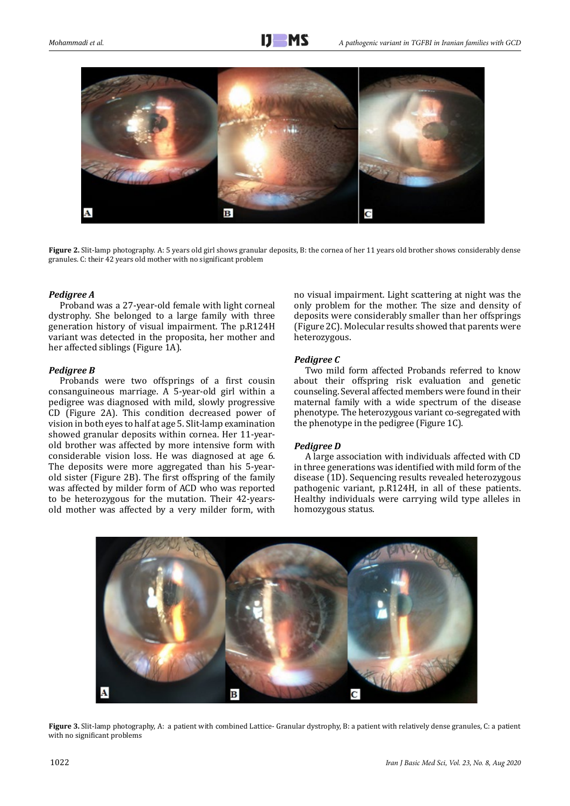

**Figure 2.** Slit-lamp photography. A: 5 years old girl shows granular deposits, B: the cornea of her 11 years old brother shows considerably dense granules. C: their 42 years old mother with no significant problem

## *Pedigree A*

Proband was a 27-year-old female with light corneal dystrophy. She belonged to a large family with three generation history of visual impairment. The p.R124H variant was detected in the proposita, her mother and her affected siblings (Figure 1A).

# *Pedigree B*

Probands were two offsprings of a first cousin consanguineous marriage. A 5-year-old girl within a pedigree was diagnosed with mild, slowly progressive CD (Figure 2A). This condition decreased power of vision in both eyes to half at age 5. Slit-lamp examination showed granular deposits within cornea. Her 11-yearold brother was affected by more intensive form with considerable vision loss. He was diagnosed at age 6. The deposits were more aggregated than his 5-yearold sister (Figure 2B). The first offspring of the family was affected by milder form of ACD who was reported to be heterozygous for the mutation. Their 42-yearsold mother was affected by a very milder form, with

no visual impairment. Light scattering at night was the only problem for the mother. The size and density of deposits were considerably smaller than her offsprings (Figure 2C). Molecular results showed that parents were heterozygous.

# *Pedigree C*

Two mild form affected Probands referred to know about their offspring risk evaluation and genetic counseling. Several affected members were found in their maternal family with a wide spectrum of the disease phenotype. The heterozygous variant co-segregated with the phenotype in the pedigree (Figure 1C).

## *Pedigree D*

A large association with individuals affected with CD in three generations was identified with mild form of the disease (1D). Sequencing results revealed heterozygous pathogenic variant, p.R124H, in all of these patients. Healthy individuals were carrying wild type alleles in homozygous status.



**Figure 3.** Slit-lamp photography, A: a patient with combined Lattice- Granular dystrophy, B: a patient with relatively dense granules, C: a patient with no significant problems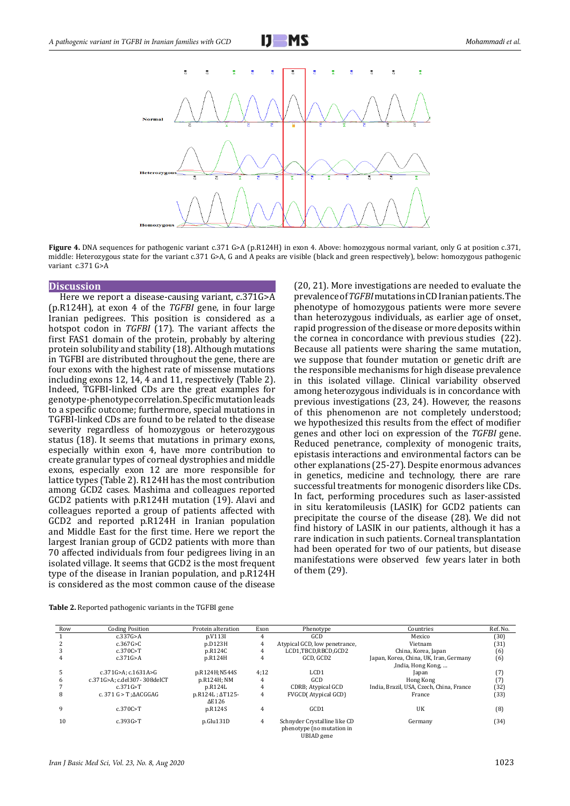



**Figure 4.** DNA sequences for pathogenic variant c.371 G>A (p.R124H) in exon 4. Above: homozygous normal variant, only G at position c.371, middle: Heterozygous state for the variant c.371 G>A, G and A peaks are visible (black and green respectively), below: homozygous pathogenic variant c.371 G>A

### **Discussion**

Here we report a disease-causing variant, c.371G>A (p.R124H), at exon 4 of the *TGFBI* gene, in four large Iranian pedigrees. This position is considered as a hotspot codon in *TGFBI* (17). The variant affects the first FAS1 domain of the protein, probably by altering protein solubility and stability (18). Although mutations in TGFBI are distributed throughout the gene, there are four exons with the highest rate of missense mutations including exons 12, 14, 4 and 11, respectively (Table 2). Indeed, TGFBI-linked CDs are the great examples for genotype-phenotype correlation. Specific mutation leads to a specific outcome; furthermore, special mutations in TGFBI-linked CDs are found to be related to the disease severity regardless of homozygous or heterozygous status (18). It seems that mutations in primary exons, especially within exon 4, have more contribution to create granular types of corneal dystrophies and middle exons, especially exon 12 are more responsible for lattice types (Table 2). R124H has the most contribution among GCD2 cases. Mashima and colleagues reported GCD2 patients with p.R124H mutation (19). Alavi and colleagues reported a group of patients affected with GCD2 and reported p.R124H in Iranian population and Middle East for the first time. Here we report the largest Iranian group of GCD2 patients with more than 70 affected individuals from four pedigrees living in an isolated village. It seems that GCD2 is the most frequent type of the disease in Iranian population, and p.R124H is considered as the most common cause of the disease

(20, 21). More investigations are needed to evaluate the prevalence of *TGFBI* mutations in CD Iranian patients. The phenotype of homozygous patients were more severe than heterozygous individuals, as earlier age of onset, rapid progression of the disease or more deposits within the cornea in concordance with previous studies (22). Because all patients were sharing the same mutation, we suppose that founder mutation or genetic drift are the responsible mechanisms for high disease prevalence in this isolated village. Clinical variability observed among heterozygous individuals is in concordance with previous investigations (23, 24). However, the reasons of this phenomenon are not completely understood; we hypothesized this results from the effect of modifier genes and other loci on expression of the *TGFBI* gene. Reduced penetrance, complexity of monogenic traits, epistasis interactions and environmental factors can be other explanations (25-27). Despite enormous advances in genetics, medicine and technology, there are rare successful treatments for monogenic disorders like CDs. In fact, performing procedures such as laser-assisted in situ keratomileusis (LASIK) for GCD2 patients can precipitate the course of the disease (28). We did not find history of LASIK in our patients, although it has a rare indication in such patients. Corneal transplantation had been operated for two of our patients, but disease manifestations were observed few years later in both of them (29).

| <b>Table 2.</b> Reported pathogenic variants in the TGFBI gene |
|----------------------------------------------------------------|
|----------------------------------------------------------------|

| Row | <b>Coding Position</b>              | Protein alteration      | Exon | Phenotype                     | Countries                                | Ref. No. |
|-----|-------------------------------------|-------------------------|------|-------------------------------|------------------------------------------|----------|
|     | c.337G>A                            | p.V113I                 | 4    | GCD                           | Mexico                                   | (30)     |
|     | c.367G > C                          | p.D123H                 | 4    | Atypical GCD, low penetrance, | Vietnam                                  | (31)     |
|     | c.370C>T                            | p.R124C                 | 4    | LCD1,TBCD,RBCD,GCD2           | China, Korea, Japan                      | (6)      |
| 4   | c.371G>A                            | p.R124H                 | 4    | GCD. GCD2                     | Japan, Korea, China, UK, Iran, Germany   | (6)      |
|     |                                     |                         |      |                               | ,India, Hong Kong,                       |          |
|     | c.371G>A: c.1631A>G                 | p.R124H;N544S           | 4:12 | LCD <sub>1</sub>              | Japan                                    | $^{(7)}$ |
| h   | c.371G>A: c.del307-308delCT         | p.R124H; NM             | 4    | GCD                           | Hong Kong                                | (7)      |
|     | c.371G > T                          | p.R124L                 | 4    | CDRB; Atypical GCD            | India, Brazil, USA, Czech, China, France | (32)     |
| 8   | c. 371 $G > T$ : $\triangle$ ACGGAG | p.R124L; $\Delta$ T125- | 4    | <b>FVGCD</b> (Atypical GCD)   | France                                   | (33)     |
|     |                                     | $\Delta$ E126           |      |                               |                                          |          |
| 9   | c.370C > T                          | p.R124S                 | 4    | GCD1                          | UK                                       | (8)      |
|     |                                     |                         |      |                               |                                          |          |
| 10  | c.393G > T                          | p.Glu131D               | 4    | Schnyder Crystalline like CD  | Germany                                  | (34)     |
|     |                                     |                         |      | phenotype (no mutation in     |                                          |          |
|     |                                     |                         |      | UBIAD gene                    |                                          |          |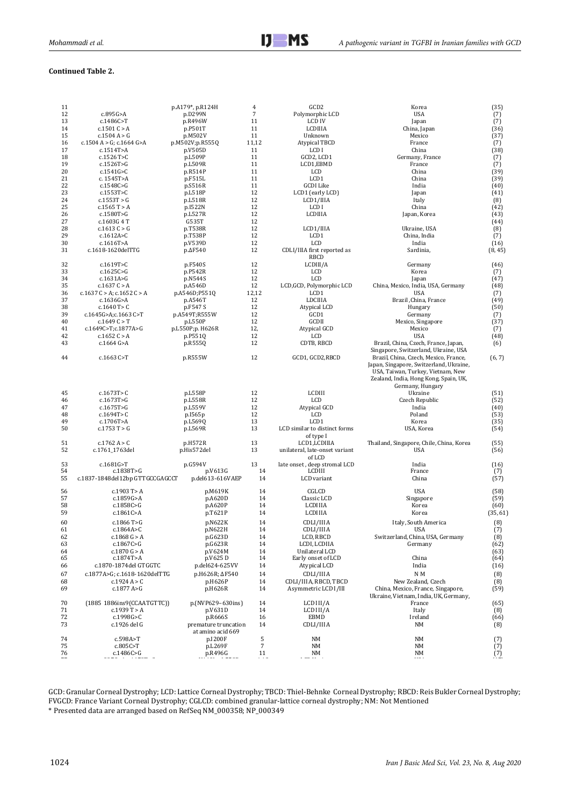# **Continued Table 2.**

| 11 |                                 | p.A179*, p.R124H       | $\overline{4}$           | GCD <sub>2</sub>               | Korea                                    | (35)     |
|----|---------------------------------|------------------------|--------------------------|--------------------------------|------------------------------------------|----------|
| 12 | c.895G>A                        | p.D299N                | $\overline{7}$           | Polymorphic LCD                | <b>USA</b>                               | (7)      |
| 13 | c.1486C>T                       | p.R496W                | 11                       | <b>LCD IV</b>                  | Japan                                    | (7)      |
|    |                                 |                        |                          |                                |                                          |          |
| 14 | c.1501C > A                     | p.P501T                | 11                       | LCDIIIA                        | China, Japan                             | (36)     |
| 15 | c.1504A > G                     | p.M502V                | 11                       | Unknown                        | Mexico                                   | (37)     |
| 16 | c.1504 A > G; c.1664 G>A        | p.M502V;p.R555Q        | 11,12                    | Atypical TBCD                  | France                                   | (7)      |
|    |                                 |                        |                          |                                |                                          |          |
| 17 | c.1514T>A                       | p.V505D                | 11                       | LCD I                          | China                                    | (38)     |
| 18 | c.1526 T>C                      | p.L509P                | 11                       | GCD2, LCD1                     | Germany, France                          | (7)      |
| 19 |                                 |                        |                          |                                |                                          |          |
|    | c.1526T>G                       | p.L509R                | 11                       | LCD1,EBMD                      | France                                   | (7)      |
| 20 | c.1541G>C                       | p.R514P                | 11                       | LCD                            | China                                    | (39)     |
| 21 |                                 |                        | 11                       | LCD1                           | China                                    | (39)     |
|    | c. 1545T>A                      | p.F515L                |                          |                                |                                          |          |
| 22 | c.1548C>G                       | p.S516R                | 11                       | GCDI Like                      | India                                    | (40)     |
| 23 | c.1553T>C                       | p.L518P                | 12                       | LCD1 (early LCD)               | Japan                                    | (41)     |
|    |                                 |                        |                          |                                |                                          |          |
| 24 | c.1553T > G                     | p.L518R                | 12                       | LCD1/IIIA                      | Italy                                    | (8)      |
| 25 | c.1565T > A                     | p.I522N                | 12                       | LCD I                          | China                                    | (42)     |
| 26 |                                 | p.L527R                | 12                       | LCDIIIA                        | Japan, Korea                             | (43)     |
|    | c.1580T>G                       |                        |                          |                                |                                          |          |
| 27 | c.1603G 4 T                     | G535T                  | 12                       |                                |                                          | (44)     |
| 28 | c.1613 $C > G$                  | p.T538R                | 12                       | LCD1/IIIA                      | Ukraine, USA                             | (8)      |
|    |                                 |                        |                          |                                |                                          |          |
| 29 | c.1612A>C                       | p.T538P                | 12                       | LCD1                           | China, India                             | (7)      |
| 30 | c.1616T>A                       | p.V539D                | 12                       | LCD                            | India                                    | (16)     |
| 31 | c.1618-1620delTTG               | $p.\Delta F$ 540       | 12                       | CDLI/IIIA first reported as    | Sardinia,                                | (8, 45)  |
|    |                                 |                        |                          |                                |                                          |          |
|    |                                 |                        |                          | RBCD                           |                                          |          |
| 32 | c.1619T>C                       | p.F540S                | 12                       | LCDIII/A                       | Germany                                  | (46)     |
|    |                                 |                        |                          |                                |                                          |          |
| 33 | c.1625C > G                     | p.P542R                | 12                       | LCD                            | Korea                                    | (7)      |
| 34 | c.1631A > G                     | p.N544S                | 12                       | LCD                            | Japan                                    | (47)     |
| 35 | c.1637 $C > A$                  | p.A546D                | 12                       | LCD, GCD, Polymorphic LCD      | China, Mexico, India, USA, Germany       | (48)     |
|    |                                 |                        |                          |                                |                                          |          |
| 36 | c.1637 C > A; c.1652 C > A      | p.A546D;P551Q          | 12,12                    | LCD1                           | <b>USA</b>                               | (7)      |
| 37 | c.1636G > A                     | p.A546T                | 12                       | LDCIIIA                        | Brazil ,China, France                    | (49)     |
|    |                                 |                        |                          |                                |                                          |          |
| 38 | c.1640 T> $C$                   | p.F547 S               | 12                       | Atypical LCD                   | Hungary                                  | (50)     |
| 39 | c.1645G>A;c.1663 C>T            | p.A549T;R555W          | 12                       | GCD1                           | Germany                                  | (7)      |
| 40 | c.1649C > T                     | p.L550P                | 12                       | GCDII                          | Mexico, Singapore                        | (37)     |
|    |                                 |                        |                          |                                |                                          |          |
| 41 | c.1649C>T;c.1877A>G             | p.L550P;p. H626R       | 12,                      | Atypical GCD                   | Mexico                                   | (7)      |
| 42 | c.1652C > A                     | p.P551Q                | 12                       | LCD                            | <b>USA</b>                               | (48)     |
|    |                                 |                        |                          |                                |                                          |          |
| 43 | $c.1664$ G>A                    | p.R555Q                | 12                       | CDTB, RBCD                     | Brazil, China, Czech, France, Japan,     | (6)      |
|    |                                 |                        |                          |                                | Singapore, Switzerland, Ukraine, USA     |          |
| 44 | c.1663 C>T                      | p.R555W                | 12                       | GCD1, GCD2,RBCD                | Brazil, China, Czech, Mexico, France,    | (6, 7)   |
|    |                                 |                        |                          |                                |                                          |          |
|    |                                 |                        |                          |                                | Japan, Singapore, Switzerland, Ukraine,  |          |
|    |                                 |                        |                          |                                | USA, Taiwan, Turkey, Vietnam, New        |          |
|    |                                 |                        |                          |                                |                                          |          |
|    |                                 |                        |                          |                                | Zealand, India, Hong Kong, Spain, UK,    |          |
|    |                                 |                        |                          |                                | Germany, Hungary                         |          |
| 45 | c.1673T > C                     | p.L558P                | 12                       | LCDIII                         | Ukraine                                  | (51)     |
|    |                                 |                        |                          |                                |                                          |          |
| 46 | c.1673T>G                       | p.L558R                | 12                       | LCD                            | Czech Republic                           | (52)     |
| 47 | c.1675T > G                     | p.L559V                | 12                       | Atypical GCD                   | India                                    | (40)     |
|    |                                 |                        |                          |                                |                                          |          |
| 48 | c.1694T > C                     | p.1565p                | 12                       | LCD                            | Poland                                   | (53)     |
| 49 | c.1706T>A                       | p.L569Q                | 13                       | LCD1                           | Korea                                    | (35)     |
| 50 | c.1753T > G                     |                        | 13                       | LCD similar to distinct forms  |                                          | (54)     |
|    |                                 | p.L569R                |                          |                                | USA, Korea                               |          |
|    |                                 |                        |                          | of type I                      |                                          |          |
| 51 | c.1762A > C                     | p.H572R                | 13                       | LCD1,LCDIIIA                   | Thailand, Singapore, Chile, China, Korea | (55)     |
|    |                                 |                        |                          |                                |                                          |          |
| 52 | c.1761_1763del                  | p.His572del            | 13                       | unilateral, late-onset variant | USA                                      | (56)     |
|    |                                 |                        |                          | of LCD                         |                                          |          |
| 53 | c.1681G>T                       |                        | 13                       |                                | India                                    |          |
|    |                                 | p.G594V                |                          | late onset, deep stromal LCD   |                                          | (16)     |
| 54 | c.1838T>G                       | p.V613G                | 14                       | <b>LCDIII</b>                  | France                                   | (7)      |
| 55 | c.1837-1848del12bp GTTGCCGAGCCT | p.del613-616VAEP       | 14                       | LCD variant                    | China                                    | (57)     |
|    |                                 |                        |                          |                                |                                          |          |
|    |                                 |                        |                          |                                |                                          |          |
| 56 | $c.1903$ T > A                  | p.M619K                | 14                       | CGLCD                          | <b>USA</b>                               | (58)     |
| 57 | c.1859G>A                       | p.A620D                | 14                       | Classic LCD                    | Singapore                                | (59)     |
| 58 | c.1858C > G                     | p.A620P                | 14                       | LCDIIIA                        | Korea                                    | (60)     |
|    |                                 |                        |                          |                                |                                          |          |
| 59 | c.1861C>A                       | p.T621P                | 14                       | LCDIIIA                        | Korea                                    | (35, 61) |
|    |                                 |                        |                          |                                |                                          |          |
| 60 | c.1866 T>G                      | p.N622K                | 14                       | CDLI/IIIA                      | Italy, South America                     | (8)      |
| 61 | c.1864A>C                       | p.N622H                | 14                       | CDLI/IIIA                      | USA                                      | (7)      |
|    |                                 |                        |                          |                                | Switzerland, China, USA, Germany         |          |
| 62 | c.1868 G > A                    | p.G623D                | 14                       | LCD, RBCD                      |                                          | (8)      |
| 63 | c.1867C>G                       | p.G623R                | 14                       | LCDI, LCDIIA                   | Germany                                  | (62)     |
| 64 | c.1870 G > A                    | p.V624M                | 14                       | Unilateral LCD                 |                                          | (63)     |
|    |                                 |                        |                          |                                |                                          |          |
| 65 | c.1874T>A                       | p.V625D                | 14                       | Early onset of LCD             | China                                    | (64)     |
| 66 | c.1870-1874del GTGGTC           | p.del624-625VV         | 14                       | Atypical LCD                   | India                                    | (16)     |
|    |                                 |                        |                          |                                |                                          |          |
| 67 | c.1877A>G; c.1618-1620delTTG    | p.H626R; $\Delta$ F540 | 14                       | CDLI/IIIA                      | N M                                      | (8)      |
| 68 | c.1924A > C                     | p.H626P                | 14                       | CDLI/IIIA, RBCD, TBCD          | New Zealand, Czech                       | (8)      |
|    |                                 |                        |                          |                                |                                          |          |
| 69 | c.1877 A>G                      | p.H626R                | 14                       | Asymmetric LCD I/III           | China, Mexico, France, Singapore,        | (59)     |
|    |                                 |                        |                          |                                | Ukraine, Vietnam, India, UK, Germany,    |          |
| 70 | (1885 1886ins9(CCAATGTTC))      | p.(NVP629-630ins)      | 14                       | LCD III/A                      | France                                   | (65)     |
|    |                                 |                        |                          |                                |                                          |          |
| 71 | c.1939T > A                     | p.V631D                | 14                       | LCD III/A                      | Italy                                    | (8)      |
| 72 | c.1998G>C                       | p.R666S                | 16                       | EBMD                           | Ireland                                  | (66)     |
|    |                                 |                        |                          |                                |                                          |          |
| 73 | c.1926 del G                    | premature truncation   | 14                       | CDLI/IIIA                      | NM                                       | (8)      |
|    |                                 | at amino acid 669      |                          |                                |                                          |          |
| 74 | c.598A>T                        | p.I200F                | 5                        | NM                             | NM                                       |          |
|    |                                 |                        |                          |                                |                                          | (7)      |
| 75 | c.805C>T                        | p.L269F                | $\overline{\phantom{a}}$ | NM                             | NM                                       | (7)      |
| 76 | c.1486C>G                       | p.R496G                | 11                       | NM                             | NM                                       | (7)      |
|    |                                 |                        |                          |                                |                                          |          |

GCD: Granular Corneal Dystrophy; LCD: Lattice Corneal Dystrophy; TBCD: Thiel-Behnke Corneal Dystrophy; RBCD: Reis Bukler Corneal Dystrophy; FVGCD: France Variant Corneal Dystrophy; CGLCD: combined granular-lattice corneal dystrophy; NM: Not Mentioned \* Presented data are arranged based on RefSeq NM\_000358; NP\_000349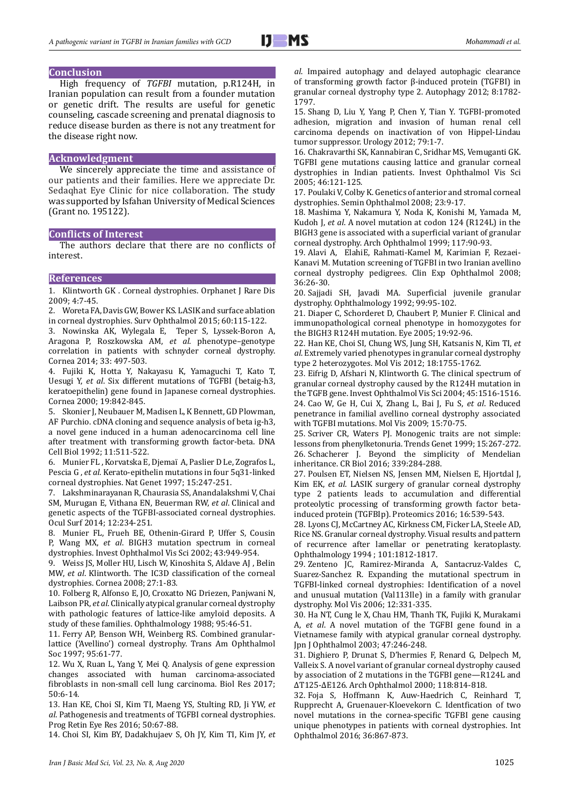## **Conclusion**

High frequency of *TGFBI* mutation, p.R124H, in Iranian population can result from a founder mutation or genetic drift. The results are useful for genetic counseling, cascade screening and prenatal diagnosis to reduce disease burden as there is not any treatment for the disease right now.

## **Acknowledgment**

We sincerely appreciate the time and assistance of our patients and their families. Here we appreciate Dr. Sedaqhat Eye Clinic for nice collaboration. The study was supported by Isfahan University of Medical Sciences (Grant no. 195122).

## **Conflicts of Interest**

The authors declare that there are no conflicts of interest.

#### **References**

1. Klintworth GK . Corneal dystrophies. Orphanet J Rare Dis 2009; 4:7-45.

2. Woreta FA, Davis GW, Bower KS. LASIK and surface ablation in corneal dystrophies. Surv Ophthalmol 2015; 60:115-122.

3. Nowinska AK, Wylegala E, Teper S, Lyssek-Boron A, Aragona P, Roszkowska AM, *et al*. phenotype–genotype correlation in patients with schnyder corneal dystrophy. Cornea 2014; 33: 497-503.

4. Fujiki K, Hotta Y, Nakayasu K, Yamaguchi T, Kato T, Uesugi Y, *et al*. Six different mutations of TGFBI (betaig-h3, keratoepithelin) gene found in Japanese corneal dystrophies. Cornea 2000; 19:842-845.

5. Skonier J, Neubauer M, Madisen L, K Bennett, GD Plowman, AF Purchio. cDNA cloning and sequence analysis of beta ig-h3, a novel gene induced in a human adenocarcinoma cell line after treatment with transforming growth factor-beta. DNA Cell Biol 1992; 11:511-522.

6. Munier FL , Korvatska E, Djemaï A, Paslier D Le, Zografos L, Pescia G , *et al*. Kerato-epithelin mutations in four 5q31-linked corneal dystrophies. Nat Genet 1997; 15:247-251.

7. Lakshminarayanan R, Chaurasia SS, Anandalakshmi V, Chai SM, Murugan E, Vithana EN, Beuerman RW, *et al*. Clinical and genetic aspects of the TGFBI-associated corneal dystrophies. Ocul Surf 2014; 12:234-251.

8. Munier FL, Frueh BE, Othenin-Girard P, Uffer S, Cousin P, Wang MX, *et al*. BIGH3 mutation spectrum in corneal dystrophies. Invest Ophthalmol Vis Sci 2002; 43:949-954.

9. Weiss JS, Moller HU, Lisch W, Kinoshita S, Aldave AJ , Belin MW, *et al*. Klintworth. The IC3D classification of the corneal dystrophies. Cornea 2008; 27:1-83.

10. Folberg R, Alfonso E, JO, Croxatto NG Driezen, Panjwani N, Laibson PR, *et al*. Clinically atypical granular corneal dystrophy with pathologic features of lattice-like amyloid deposits. A study of these families. Ophthalmology 1988; 95:46-51.

11. Ferry AP, Benson WH, Weinberg RS. Combined granularlattice ('Avellino') corneal dystrophy. Trans Am Ophthalmol Soc 1997; 95:61-77.

12. Wu X, Ruan L, Yang Y, Mei Q. Analysis of gene expression changes associated with human carcinoma-associated fibroblasts in non-small cell lung carcinoma. Biol Res 2017; 50:6-14.

13. Han KE, Choi SI, Kim TI, Maeng YS, Stulting RD, Ji YW, *et al*. Pathogenesis and treatments of TGFBI corneal dystrophies. Prog Retin Eye Res 2016; 50:67-88.

14. Choi SI, Kim BY, Dadakhujaev S, Oh JY, Kim TI, Kim JY, *et* 

*al*. Impaired autophagy and delayed autophagic clearance of transforming growth factor β-induced protein (TGFBI) in granular corneal dystrophy type 2. Autophagy 2012; 8:1782- 1797.

15. Shang D, Liu Y, Yang P, Chen Y, Tian Y. TGFBI-promoted adhesion, migration and invasion of human renal cell carcinoma depends on inactivation of von Hippel-Lindau tumor suppressor. Urology 2012; 79:1-7.

16. Chakravarthi SK, Kannabiran C, Sridhar MS, Vemuganti GK. TGFBI gene mutations causing lattice and granular corneal dystrophies in Indian patients. Invest Ophthalmol Vis Sci 2005; 46:121-125.

17. Poulaki V, Colby K. Genetics of anterior and stromal corneal dystrophies. Semin Ophthalmol 2008; 23:9-17.

18. Mashima Y, Nakamura Y, Noda K, Konishi M, Yamada M, Kudoh J, *et al*. A novel mutation at codon 124 (R124L) in the BIGH3 gene is associated with a superficial variant of granular corneal dystrophy. Arch Ophthalmol 1999; 117:90-93.

19. Alavi A, ElahiE, Rahmati-Kamel M, Karimian F, Rezaei-Kanavi M. Mutation screening of TGFBI in two Iranian avellino corneal dystrophy pedigrees. Clin Exp Ophthalmol 2008; 36:26-30.

20. Sajjadi SH, Javadi MA. Superficial juvenile granular dystrophy. Ophthalmology 1992; 99:95-102.

21. Diaper C, Schorderet D, Chaubert P, Munier F. Clinical and immunopathological corneal phenotype in homozygotes for the BIGH3 R124H mutation. Eye 2005; 19:92-96.

22. Han KE, Choi SI, Chung WS, Jung SH, Katsanis N, Kim TI, *et al*. Extremely varied phenotypes in granular corneal dystrophy type 2 heterozygotes. Mol Vis 2012; 18:1755-1762.

23. Eifrig D, Afshari N, Klintworth G. The clinical spectrum of granular corneal dystrophy caused by the R124H mutation in the TGFB gene. Invest Ophthalmol Vis Sci 2004; 45:1516-1516. 24. Cao W, Ge H, Cui X, Zhang L, Bai J, Fu S, *et al*. Reduced penetrance in familial avellino corneal dystrophy associated with TGFBI mutations. Mol Vis 2009; 15:70-75.

25. Scriver CR, Waters PJ. Monogenic traits are not simple: lessons from phenylketonuria. Trends Genet 1999; 15:267-272. 26. Schacherer J. Beyond the simplicity of Mendelian inheritance. CR Biol 2016; 339:284-288.

27. Poulsen ET, Nielsen NS, Jensen MM, Nielsen E, Hjortdal J, Kim EK, *et al*. LASIK surgery of granular corneal dystrophy type 2 patients leads to accumulation and differential proteolytic processing of transforming growth factor betainduced protein (TGFBIp). Proteomics 2016; 16:539-543.

28. Lyons CJ, McCartney AC, Kirkness CM, Ficker LA, Steele AD, Rice NS. Granular corneal dystrophy. Visual results and pattern of recurrence after lamellar or penetrating keratoplasty. Ophthalmology 1994 ; 101:1812-1817.

29. Zenteno JC, Ramirez-Miranda A, Santacruz-Valdes C, Suarez-Sanchez R. Expanding the mutational spectrum in TGFBI-linked corneal dystrophies: Identification of a novel and unusual mutation (Val113Ile) in a family with granular dystrophy. Mol Vis 2006; 12:331-335.

30. Ha NT, Cung le X, Chau HM, Thanh TK, Fujiki K, Murakami A, *et al*. A novel mutation of the TGFBI gene found in a Vietnamese family with atypical granular corneal dystrophy. Jpn J Ophthalmol 2003; 47:246-248.

31. Dighiero P, Drunat S, D'hermies F, Renard G, Delpech M, Valleix S. A novel variant of granular corneal dystrophy caused by association of 2 mutations in the TGFBI gene—R124L and ΔT125-ΔE126. Arch Ophthalmol 2000; 118:814-818.

32. Foja S, Hoffmann K, Auw-Haedrich C, Reinhard T, Rupprecht A, Gruenauer-Kloevekorn C. Identfication of two novel mutations in the cornea-specific TGFBI gene causing unique phenotypes in patients with corneal dystrophies. Int Ophthalmol 2016; 36:867-873.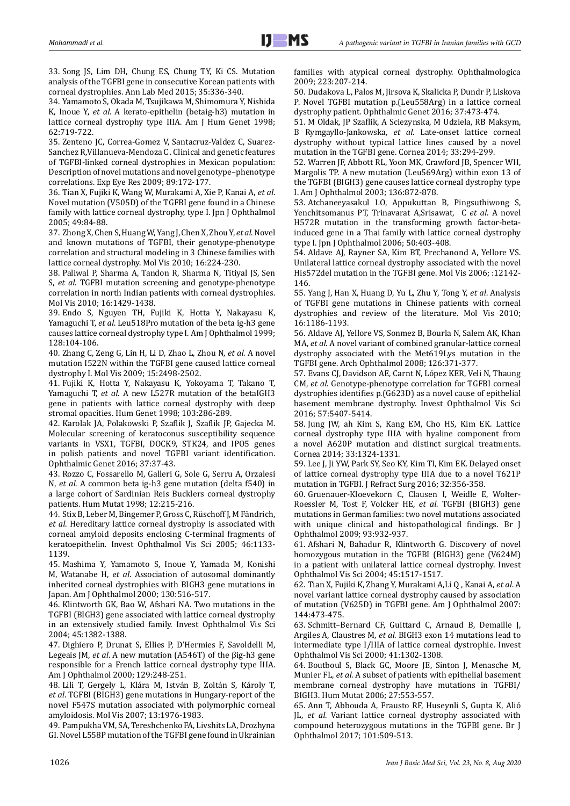33. Song JS, Lim DH, Chung ES, Chung TY, Ki CS. Mutation analysis of the TGFBI gene in consecutive Korean patients with corneal dystrophies. Ann Lab Med 2015; 35:336-340.

34. Yamamoto S, Okada M, Tsujikawa M, Shimomura Y, Nishida K, Inoue Y, *et al*. A kerato-epithelin (betaig-h3) mutation in lattice corneal dystrophy type IIIA. Am J Hum Genet 1998; 62:719-722.

35. Zenteno JC, Correa-Gomez V, Santacruz-Valdez C, Suarez-Sanchez R,Villanueva-Mendoza C . Clinical and genetic features of TGFBI-linked corneal dystrophies in Mexican population: Description of novel mutations and novel genotype–phenotype correlations. Exp Eye Res 2009; 89:172-177.

36. Tian X, Fujiki K, Wang W, Murakami A, Xie P, Kanai A, *et al*. Novel mutation (V505D) of the TGFBI gene found in a Chinese family with lattice corneal dystrophy, type I. Jpn J Ophthalmol 2005; 49:84-88.

37. Zhong X, Chen S, Huang W, Yang J, Chen X, Zhou Y, *et al*. Novel and known mutations of TGFBI, their genotype-phenotype correlation and structural modeling in 3 Chinese families with lattice corneal dystrophy. Mol Vis 2010; 16:224-230.

38. Paliwal P, Sharma A, Tandon R, Sharma N, Titiyal JS, Sen S, *et al*. TGFBI mutation screening and genotype-phenotype correlation in north Indian patients with corneal dystrophies. Mol Vis 2010; 16:1429-1438.

39. Endo S, Nguyen TH, Fujiki K, Hotta Y, Nakayasu K, Yamaguchi T, *et al*. Leu518Pro mutation of the beta ig-h3 gene causes lattice corneal dystrophy type I. Am J Ophthalmol 1999; 128:104-106.

40. Zhang C, Zeng G, Lin H, Li D, Zhao L, Zhou N, *et al*. A novel mutation I522N within the TGFBI gene caused lattice corneal dystrophy I. Mol Vis 2009; 15:2498-2502.

41. Fujiki K, Hotta Y, Nakayasu K, Yokoyama T, Takano T, Yamaguchi T, *et al*. A new L527R mutation of the betaIGH3 gene in patients with lattice corneal dystrophy with deep stromal opacities. Hum Genet 1998; 103:286-289.

42. Karolak JA, Polakowski P, Szaflik J, Szaflik JP, Gajecka M. Molecular screening of keratoconus susceptibility sequence variants in VSX1, TGFBI, DOCK9, STK24, and IPO5 genes in polish patients and novel TGFBI variant identification. Ophthalmic Genet 2016; 37:37-43.

43. Rozzo C, Fossarello M, Galleri G, Sole G, Serru A, Orzalesi N, *et al*. A common beta ig-h3 gene mutation (delta f540) in a large cohort of Sardinian Reis Bucklers corneal dystrophy patients. Hum Mutat 1998; 12:215-216.

44. Stix B, Leber M, Bingemer P, Gross C, Rüschoff J, M Fändrich, *et al*. Hereditary lattice corneal dystrophy is associated with corneal amyloid deposits enclosing C-terminal fragments of keratoepithelin. Invest Ophthalmol Vis Sci 2005; 46:1133- 1139.

45. Mashima Y, Yamamoto S, Inoue Y, Yamada M, Konishi M, Watanabe H, *et al*. Association of autosomal dominantly inherited corneal dystrophies with BIGH3 gene mutations in Japan. Am J Ophthalmol 2000; 130:516-517.

46. Klintworth GK, Bao W, Afshari NA. Two mutations in the TGFBI (BIGH3) gene associated with lattice corneal dystrophy in an extensively studied family. Invest Ophthalmol Vis Sci 2004; 45:1382-1388.

47. Dighiero P, Drunat S, Ellies P, D'Hermies F, Savoldelli M, Legeais JM, *et al*. A new mutation (A546T) of the βig-h3 gene responsible for a French lattice corneal dystrophy type IIIA. Am J Ophthalmol 2000; 129:248-251.

48. Lili T, Gergely L, Klára M, István B, Zoltán S, Károly T, *et al*. TGFBI (BIGH3) gene mutations in Hungary-report of the novel F547S mutation associated with polymorphic corneal amyloidosis. Mol Vis 2007; 13:1976-1983.

49. Pampukha VM, SA, Tereshchenko FA, Livshits LA, Drozhyna GI. Novel L558P mutation of the TGFBI gene found in Ukrainian families with atypical corneal dystrophy. Ophthalmologica 2009; 223:207-214.

50. Dudakova L, Palos M, Jirsova K, Skalicka P, Dundr P, Liskova P. Novel TGFBI mutation p.(Leu558Arg) in a lattice corneal dystrophy patient. Ophthalmic Genet 2016; 37:473-474.

51. M Oldak, JP Szaflik, A Sciezynska, M Udziela, RB Maksym, B Rymgayllo-Jankowska, *et al*. Late-onset lattice corneal dystrophy without typical lattice lines caused by a novel mutation in the TGFBI gene. Cornea 2014; 33:294-299.

52. Warren JF, Abbott RL, Yoon MK, Crawford JB, Spencer WH, Margolis TP. A new mutation (Leu569Arg) within exon 13 of the TGFBI (BIGH3) gene causes lattice corneal dystrophy type I. Am J Ophthalmol 2003; 136:872-878.

53. Atchaneeyasakul LO, Appukuttan B, Pingsuthiwong S, Yenchitsomanus PT, Trinavarat A,Srisawat, C *et al*. A novel H572R mutation in the transforming growth factor-betainduced gene in a Thai family with lattice corneal dystrophy type I. Jpn J Ophthalmol 2006; 50:403-408.

54. Aldave AJ, Rayner SA, Kim BT, Prechanond A, Yellore VS. Unilateral lattice corneal dystrophy associated with the novel His572del mutation in the TGFBI gene. Mol Vis 2006; :12142- 146.

55. Yang J, Han X, Huang D, Yu L, Zhu Y, Tong Y, *et al*. Analysis of TGFBI gene mutations in Chinese patients with corneal dystrophies and review of the literature. Mol Vis 2010; 16:1186-1193.

56. Aldave AJ, Yellore VS, Sonmez B, Bourla N, Salem AK, Khan MA, *et al*. A novel variant of combined granular-lattice corneal dystrophy associated with the Met619Lys mutation in the TGFBI gene. Arch Ophthalmol 2008; 126:371-377.

57. Evans CJ, Davidson AE, Carnt N, López KER, Veli N, Thaung CM, *et al*. Genotype-phenotype correlation for TGFBI corneal dystrophies identifies p.(G623D) as a novel cause of epithelial basement membrane dystrophy. Invest Ophthalmol Vis Sci 2016; 57:5407-5414.

58. Jung JW, ah Kim S, Kang EM, Cho HS, Kim EK. Lattice corneal dystrophy type IIIA with hyaline component from a novel A620P mutation and distinct surgical treatments. Cornea 2014; 33:1324-1331.

59. Lee J, Ji YW, Park SY, Seo KY, Kim TI, Kim EK. Delayed onset of lattice corneal dystrophy type IIIA due to a novel T621P mutation in TGFBI. J Refract Surg 2016; 32:356-358.

60. Gruenauer-Kloevekorn C, Clausen I, Weidle E, Wolter-Roessler M, Tost F, Volcker HE, *et al*. TGFBI (BIGH3) gene mutations in German families: two novel mutations associated with unique clinical and histopathological findings. Br J Ophthalmol 2009; 93:932-937.

61. Afshari N, Bahadur R, Klintworth G. Discovery of novel homozygous mutation in the TGFBI (BIGH3) gene (V624M) in a patient with unilateral lattice corneal dystrophy. Invest Ophthalmol Vis Sci 2004; 45:1517-1517.

62. Tian X, Fujiki K, Zhang Y, Murakami A,Li Q , Kanai A, *et al*. A novel variant lattice corneal dystrophy caused by association of mutation (V625D) in TGFBI gene. Am J Ophthalmol 2007: 144:473-475.

63. Schmitt–Bernard CF, Guittard C, Arnaud B, Demaille J, Argiles A, Claustres M, *et al*. BIGH3 exon 14 mutations lead to intermediate type I/IIIA of lattice corneal dystrophie. Invest Ophthalmol Vis Sci 2000; 41:1302-1308.

64. Boutboul S, Black GC, Moore JE, Sinton J, Menasche M, Munier FL, *et al*. A subset of patients with epithelial basement membrane corneal dystrophy have mutations in TGFBI/ BIGH3. Hum Mutat 2006; 27:553-557.

65. Ann T, Abbouda A, Frausto RF, Huseynli S, Gupta K, Alió JL, *et al*. Variant lattice corneal dystrophy associated with compound heterozygous mutations in the TGFBI gene. Br J Ophthalmol 2017; 101:509-513.